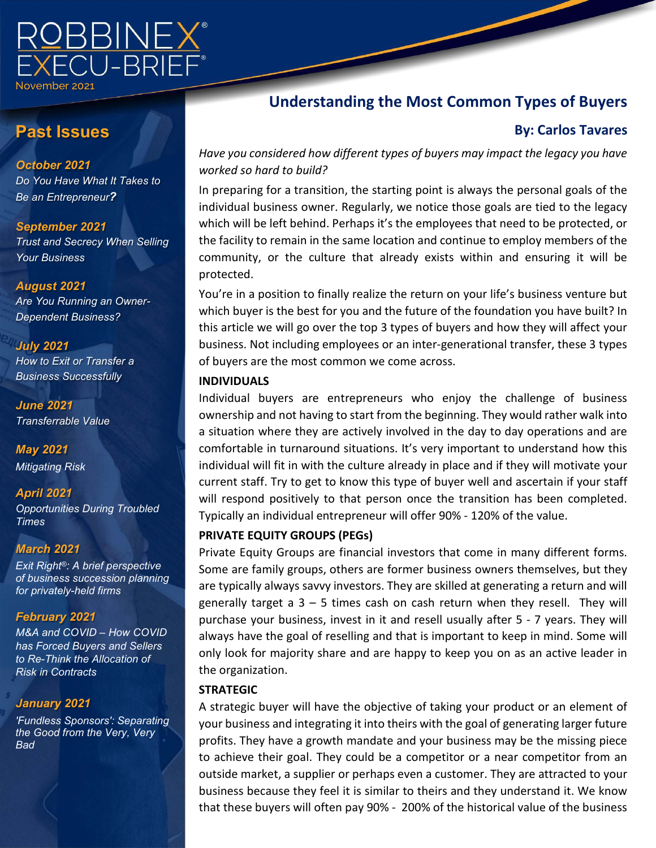

# **Past Issues**

*October 2021 Do You Have What It Takes to Be an Entrepreneur?* 

*September 2021 Trust and Secrecy When Selling Your Business*

*August 2021 Are You Running an Owner-Dependent Business?*

*July 2021 How to Exit or Transfer a Business Successfully*

*June 2021 Transferrable Value*

*May 2021 Mitigating Risk*

*April 2021 Opportunities During Troubled Times*

## *March 2021*

*Exit Right®: A brief perspective of business succession planning for privately-held firms*

#### *February 2021*

*M&A and COVID – How COVID has Forced Buyers and Sellers to Re-Think the Allocation of Risk in Contracts*

## *January 2021*

*'Fundless Sponsors': Separating the Good from the Very, Very Bad*

# **Understanding the Most Common Types of Buyers**

### **By: Carlos Tavares**

*Have you considered how different types of buyers may impact the legacy you have worked so hard to build?* 

In preparing for a transition, the starting point is always the personal goals of the individual business owner. Regularly, we notice those goals are tied to the legacy which will be left behind. Perhaps it's the employees that need to be protected, or the facility to remain in the same location and continue to employ members of the community, or the culture that already exists within and ensuring it will be protected.

You're in a position to finally realize the return on your life's business venture but which buyer is the best for you and the future of the foundation you have built? In this article we will go over the top 3 types of buyers and how they will affect your business. Not including employees or an inter-generational transfer, these 3 types of buyers are the most common we come across.

#### **INDIVIDUALS**

Individual buyers are entrepreneurs who enjoy the challenge of business ownership and not having to start from the beginning. They would rather walk into a situation where they are actively involved in the day to day operations and are comfortable in turnaround situations. It's very important to understand how this individual will fit in with the culture already in place and if they will motivate your current staff. Try to get to know this type of buyer well and ascertain if your staff will respond positively to that person once the transition has been completed. Typically an individual entrepreneur will offer 90% - 120% of the value.

#### **PRIVATE EQUITY GROUPS (PEGs)**

Private Equity Groups are financial investors that come in many different forms. Some are family groups, others are former business owners themselves, but they are typically always savvy investors. They are skilled at generating a return and will generally target a  $3 - 5$  times cash on cash return when they resell. They will purchase your business, invest in it and resell usually after 5 - 7 years. They will always have the goal of reselling and that is important to keep in mind. Some will only look for majority share and are happy to keep you on as an active leader in the organization.

#### **STRATEGIC**

A strategic buyer will have the objective of taking your product or an element of your business and integrating it into theirs with the goal of generating larger future profits. They have a growth mandate and your business may be the missing piece to achieve their goal. They could be a competitor or a near competitor from an outside market, a supplier or perhaps even a customer. They are attracted to your business because they feel it is similar to theirs and they understand it. We know that these buyers will often pay 90% - 200% of the historical value of the business